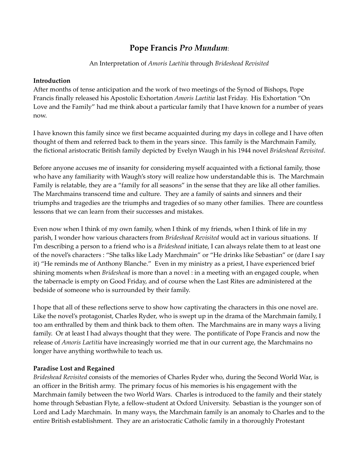# **Pope Francis** *Pro Mundum*:

### An Interpretation of *Amoris Laetitia* through *Brideshead Revisited*

#### **Introduction**

After months of tense anticipation and the work of two meetings of the Synod of Bishops, Pope Francis finally released his Apostolic Exhortation *Amoris Laetitia* last Friday. His Exhortation "On Love and the Family" had me think about a particular family that I have known for a number of years now.

I have known this family since we first became acquainted during my days in college and I have often thought of them and referred back to them in the years since. This family is the Marchmain Family, the fictional aristocratic British family depicted by Evelyn Waugh in his 1944 novel *Brideshead Revisited*.

Before anyone accuses me of insanity for considering myself acquainted with a fictional family, those who have any familiarity with Waugh's story will realize how understandable this is. The Marchmain Family is relatable, they are a "family for all seasons" in the sense that they are like all other families. The Marchmains transcend time and culture. They are a family of saints and sinners and their triumphs and tragedies are the triumphs and tragedies of so many other families. There are countless lessons that we can learn from their successes and mistakes.

Even now when I think of my own family, when I think of my friends, when I think of life in my parish, I wonder how various characters from *Brideshead Revisited* would act in various situations. If I'm describing a person to a friend who is a *Brideshead* initiate, I can always relate them to at least one of the novel's characters : "She talks like Lady Marchmain" or "He drinks like Sebastian" or (dare I say it) "He reminds me of Anthony Blanche." Even in my ministry as a priest, I have experienced brief shining moments when *Brideshead* is more than a novel : in a meeting with an engaged couple, when the tabernacle is empty on Good Friday, and of course when the Last Rites are administered at the bedside of someone who is surrounded by their family.

I hope that all of these reflections serve to show how captivating the characters in this one novel are. Like the novel's protagonist, Charles Ryder, who is swept up in the drama of the Marchmain family, I too am enthralled by them and think back to them often. The Marchmains are in many ways a living family. Or at least I had always thought that they were. The pontificate of Pope Francis and now the release of *Amoris Laetitia* have increasingly worried me that in our current age, the Marchmains no longer have anything worthwhile to teach us.

### **Paradise Lost and Regained**

*Brideshead Revisited* consists of the memories of Charles Ryder who, during the Second World War, is an officer in the British army. The primary focus of his memories is his engagement with the Marchmain family between the two World Wars. Charles is introduced to the family and their stately home through Sebastian Flyte, a fellow‐student at Oxford University. Sebastian is the younger son of Lord and Lady Marchmain. In many ways, the Marchmain family is an anomaly to Charles and to the entire British establishment. They are an aristocratic Catholic family in a thoroughly Protestant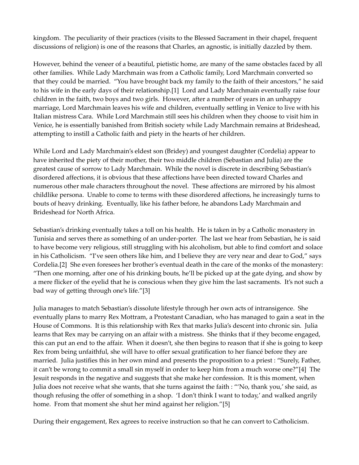kingdom. The peculiarity of their practices (visits to the Blessed Sacrament in their chapel, frequent discussions of religion) is one of the reasons that Charles, an agnostic, is initially dazzled by them.

However, behind the veneer of a beautiful, pietistic home, are many of the same obstacles faced by all other families. While Lady Marchmain was from a Catholic family, Lord Marchmain converted so that they could be married. "You have brought back my family to the faith of their ancestors," he said to his wife in the early days of their relationship.[1] Lord and Lady Marchmain eventually raise four children in the faith, two boys and two girls. However, after a number of years in an unhappy marriage, Lord Marchmain leaves his wife and children, eventually settling in Venice to live with his Italian mistress Cara. While Lord Marchmain still sees his children when they choose to visit him in Venice, he is essentially banished from British society while Lady Marchmain remains at Brideshead, attempting to instill a Catholic faith and piety in the hearts of her children.

While Lord and Lady Marchmain's eldest son (Bridey) and youngest daughter (Cordelia) appear to have inherited the piety of their mother, their two middle children (Sebastian and Julia) are the greatest cause of sorrow to Lady Marchmain. While the novel is discrete in describing Sebastian's disordered affections, it is obvious that these affections have been directed toward Charles and numerous other male characters throughout the novel. These affections are mirrored by his almost childlike persona. Unable to come to terms with these disordered affections, he increasingly turns to bouts of heavy drinking. Eventually, like his father before, he abandons Lady Marchmain and Brideshead for North Africa.

Sebastian's drinking eventually takes a toll on his health. He is taken in by a Catholic monastery in Tunisia and serves there as something of an under‐porter. The last we hear from Sebastian, he is said to have become very religious, still struggling with his alcoholism, but able to find comfort and solace in his Catholicism. "I've seen others like him, and I believe they are very near and dear to God," says Cordelia.[2] She even foresees her brother's eventual death in the care of the monks of the monastery: "Then one morning, after one of his drinking bouts, he'll be picked up at the gate dying, and show by a mere flicker of the eyelid that he is conscious when they give him the last sacraments. It's not such a bad way of getting through one's life."[3]

Julia manages to match Sebastian's dissolute lifestyle through her own acts of intransigence. She eventually plans to marry Rex Mottram, a Protestant Canadian, who has managed to gain a seat in the House of Commons. It is this relationship with Rex that marks Julia's descent into chronic sin. Julia learns that Rex may be carrying on an affair with a mistress. She thinks that if they become engaged, this can put an end to the affair. When it doesn't, she then begins to reason that if she is going to keep Rex from being unfaithful, she will have to offer sexual gratification to her fiancé before they are married. Julia justifies this in her own mind and presents the proposition to a priest : "Surely, Father, it can't be wrong to commit a small sin myself in order to keep him from a much worse one?"[4] The Jesuit responds in the negative and suggests that she make her confession. It is this moment, when Julia does not receive what she wants, that she turns against the faith : "'No, thank you,' she said, as though refusing the offer of something in a shop. 'I don't think I want to today,' and walked angrily home. From that moment she shut her mind against her religion."[5]

During their engagement, Rex agrees to receive instruction so that he can convert to Catholicism.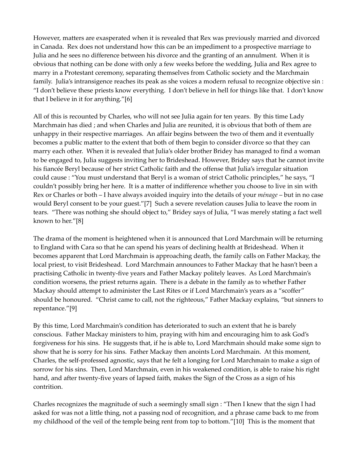However, matters are exasperated when it is revealed that Rex was previously married and divorced in Canada. Rex does not understand how this can be an impediment to a prospective marriage to Julia and he sees no difference between his divorce and the granting of an annulment. When it is obvious that nothing can be done with only a few weeks before the wedding, Julia and Rex agree to marry in a Protestant ceremony, separating themselves from Catholic society and the Marchmain family. Julia's intransigence reaches its peak as she voices a modern refusal to recognize objective sin : "I don't believe these priests know everything. I don't believe in hell for things like that. I don't know that I believe in it for anything."[6]

All of this is recounted by Charles, who will not see Julia again for ten years. By this time Lady Marchmain has died ; and when Charles and Julia are reunited, it is obvious that both of them are unhappy in their respective marriages. An affair begins between the two of them and it eventually becomes a public matter to the extent that both of them begin to consider divorce so that they can marry each other. When it is revealed that Julia's older brother Bridey has managed to find a woman to be engaged to, Julia suggests inviting her to Brideshead. However, Bridey says that he cannot invite his fiancée Beryl because of her strict Catholic faith and the offense that Julia's irregular situation could cause : "You must understand that Beryl is a woman of strict Catholic principles," he says, "I couldn't possibly bring her here. It is a matter of indifference whether you choose to live in sin with Rex or Charles or both – I have always avoided inquiry into the details of your *ménage* – but in no case would Beryl consent to be your guest."[7] Such a severe revelation causes Julia to leave the room in tears. "There was nothing she should object to," Bridey says of Julia, "I was merely stating a fact well known to her."[8]

The drama of the moment is heightened when it is announced that Lord Marchmain will be returning to England with Cara so that he can spend his years of declining health at Brideshead. When it becomes apparent that Lord Marchmain is approaching death, the family calls on Father Mackay, the local priest, to visit Brideshead. Lord Marchmain announces to Father Mackay that he hasn't been a practising Catholic in twenty‐five years and Father Mackay politely leaves. As Lord Marchmain's condition worsens, the priest returns again. There is a debate in the family as to whether Father Mackay should attempt to administer the Last Rites or if Lord Marchmain's years as a "scoffer" should be honoured. "Christ came to call, not the righteous," Father Mackay explains, "but sinners to repentance."[9]

By this time, Lord Marchmain's condition has deteriorated to such an extent that he is barely conscious. Father Mackay ministers to him, praying with him and encouraging him to ask God's forgiveness for his sins. He suggests that, if he is able to, Lord Marchmain should make some sign to show that he is sorry for his sins. Father Mackay then anoints Lord Marchmain. At this moment, Charles, the self‐professed agnostic, says that he felt a longing for Lord Marchmain to make a sign of sorrow for his sins. Then, Lord Marchmain, even in his weakened condition, is able to raise his right hand, and after twenty‐five years of lapsed faith, makes the Sign of the Cross as a sign of his contrition.

Charles recognizes the magnitude of such a seemingly small sign : "Then I knew that the sign I had asked for was not a little thing, not a passing nod of recognition, and a phrase came back to me from my childhood of the veil of the temple being rent from top to bottom."[10] This is the moment that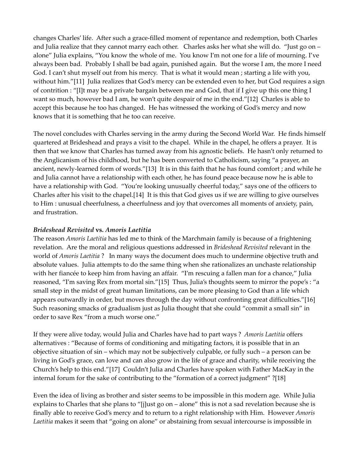changes Charles' life. After such a grace‐filled moment of repentance and redemption, both Charles and Julia realize that they cannot marry each other. Charles asks her what she will do. "Just go on – alone" Julia explains, "You know the whole of me. You know I'm not one for a life of mourning. I've always been bad. Probably I shall be bad again, punished again. But the worse I am, the more I need God. I can't shut myself out from his mercy. That is what it would mean ; starting a life with you, without him."[11] Julia realizes that God's mercy can be extended even to her, but God requires a sign of contrition : "[I]t may be a private bargain between me and God, that if I give up this one thing I want so much, however bad I am, he won't quite despair of me in the end."[12] Charles is able to accept this because he too has changed. He has witnessed the working of God's mercy and now knows that it is something that he too can receive.

The novel concludes with Charles serving in the army during the Second World War. He finds himself quartered at Brideshead and prays a visit to the chapel. While in the chapel, he offers a prayer. It is then that we know that Charles has turned away from his agnostic beliefs. He hasn't only returned to the Anglicanism of his childhood, but he has been converted to Catholicism, saying "a prayer, an ancient, newly‐learned form of words."[13] It is in this faith that he has found comfort ; and while he and Julia cannot have a relationship with each other, he has found peace because now he is able to have a relationship with God. "You're looking unusually cheerful today," says one of the officers to Charles after his visit to the chapel.[14] It is this that God gives us if we are willing to give ourselves to Him : unusual cheerfulness, a cheerfulness and joy that overcomes all moments of anxiety, pain, and frustration.

### *Brideshead Revisited* **vs.** *Amoris Laetitia*

The reason *Amoris Laetitia* has led me to think of the Marchmain family is because of a frightening revelation. Are the moral and religious questions addressed in *Brideshead Revisited* relevant in the world of *Amoris Laetitia* ? In many ways the document does much to undermine objective truth and absolute values. Julia attempts to do the same thing when she rationalizes an unchaste relationship with her fiancée to keep him from having an affair. "I'm rescuing a fallen man for a chance," Julia reasoned, "I'm saving Rex from mortal sin."[15] Thus, Julia's thoughts seem to mirror the pope's : "a small step in the midst of great human limitations, can be more pleasing to God than a life which appears outwardly in order, but moves through the day without confronting great difficulties."[16] Such reasoning smacks of gradualism just as Julia thought that she could "commit a small sin" in order to save Rex "from a much worse one."

If they were alive today, would Julia and Charles have had to part ways ? *Amoris Laetitia* offers alternatives : "Because of forms of conditioning and mitigating factors, it is possible that in an objective situation of sin – which may not be subjectively culpable, or fully such – a person can be living in God's grace, can love and can also grow in the life of grace and charity, while receiving the Church's help to this end."[17] Couldn't Julia and Charles have spoken with Father MacKay in the internal forum for the sake of contributing to the "formation of a correct judgment" ?[18]

Even the idea of living as brother and sister seems to be impossible in this modern age. While Julia explains to Charles that she plans to "[j]ust go on – alone" this is not a sad revelation because she is finally able to receive God's mercy and to return to a right relationship with Him. However *Amoris Laetitia* makes it seem that "going on alone" or abstaining from sexual intercourse is impossible in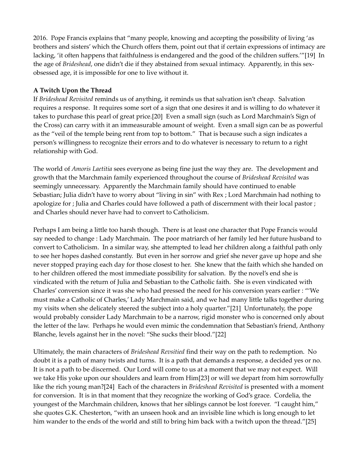2016. Pope Francis explains that "many people, knowing and accepting the possibility of living 'as brothers and sisters' which the Church offers them, point out that if certain expressions of intimacy are lacking, 'it often happens that faithfulness is endangered and the good of the children suffers.'"[19] In the age of *Brideshead*, one didn't die if they abstained from sexual intimacy. Apparently, in this sexobsessed age, it is impossible for one to live without it.

## **A Twitch Upon the Thread**

If *Brideshead Revisited* reminds us of anything, it reminds us that salvation isn't cheap. Salvation requires a response. It requires some sort of a sign that one desires it and is willing to do whatever it takes to purchase this pearl of great price.[20] Even a small sign (such as Lord Marchmain's Sign of the Cross) can carry with it an immeasurable amount of weight. Even a small sign can be as powerful as the "veil of the temple being rent from top to bottom." That is because such a sign indicates a person's willingness to recognize their errors and to do whatever is necessary to return to a right relationship with God.

The world of *Amoris Laetitia* sees everyone as being fine just the way they are. The development and growth that the Marchmain family experienced throughout the course of *Brideshead Revisited* was seemingly unnecessary. Apparently the Marchmain family should have continued to enable Sebastian; Julia didn't have to worry about "living in sin" with Rex ; Lord Marchmain had nothing to apologize for ; Julia and Charles could have followed a path of discernment with their local pastor ; and Charles should never have had to convert to Catholicism.

Perhaps I am being a little too harsh though. There is at least one character that Pope Francis would say needed to change : Lady Marchmain. The poor matriarch of her family led her future husband to convert to Catholicism. In a similar way, she attempted to lead her children along a faithful path only to see her hopes dashed constantly. But even in her sorrow and grief she never gave up hope and she never stopped praying each day for those closest to her. She knew that the faith which she handed on to her children offered the most immediate possibility for salvation. By the novel's end she is vindicated with the return of Julia and Sebastian to the Catholic faith. She is even vindicated with Charles' conversion since it was she who had pressed the need for his conversion years earlier : "'We must make a Catholic of Charles,' Lady Marchmain said, and we had many little talks together during my visits when she delicately steered the subject into a holy quarter."[21] Unfortunately, the pope would probably consider Lady Marchmain to be a narrow, rigid monster who is concerned only about the letter of the law. Perhaps he would even mimic the condemnation that Sebastian's friend, Anthony Blanche, levels against her in the novel: "She sucks their blood."[22]

Ultimately, the main characters of *Brideshead Revsitied* find their way on the path to redemption. No doubt it is a path of many twists and turns. It is a path that demands a response, a decided yes or no. It is not a path to be discerned. Our Lord will come to us at a moment that we may not expect. Will we take His yoke upon our shoulders and learn from Him[23] or will we depart from him sorrowfully like the rich young man?[24] Each of the characters in *Brideshead Revisited* is presented with a moment for conversion. It is in that moment that they recognize the working of God's grace. Cordelia, the youngest of the Marchmain children, knows that her siblings cannot be lost forever. "I caught him," she quotes G.K. Chesterton, "with an unseen hook and an invisible line which is long enough to let him wander to the ends of the world and still to bring him back with a twitch upon the thread."[25]